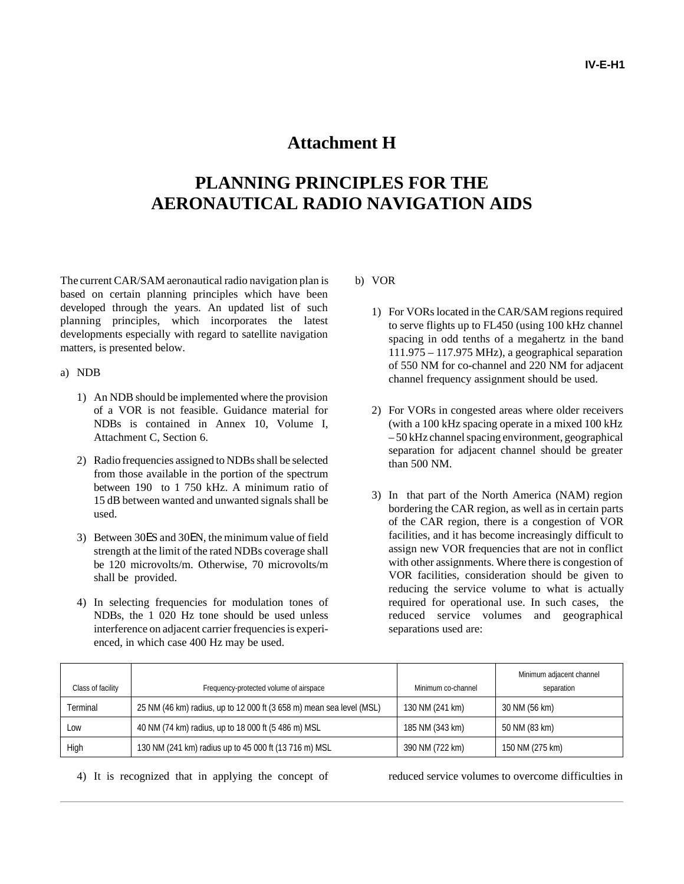## **Attachment H**

# **PLANNING PRINCIPLES FOR THE AERONAUTICAL RADIO NAVIGATION AIDS**

The current CAR/SAM aeronautical radio navigation plan is based on certain planning principles which have been developed through the years. An updated list of such planning principles, which incorporates the latest developments especially with regard to satellite navigation matters, is presented below.

#### a) NDB

- 1) An NDB should be implemented where the provision of a VOR is not feasible. Guidance material for NDBs is contained in Annex 10, Volume I, Attachment C, Section 6.
- 2) Radio frequencies assigned to NDBs shall be selected from those available in the portion of the spectrum between 190 to 1 750 kHz. A minimum ratio of 15 dB between wanted and unwanted signals shall be used.
- 3) Between 30ES and 30EN, the minimum value of field strength at the limit of the rated NDBs coverage shall be 120 microvolts/m. Otherwise, 70 microvolts/m shall be provided.
- 4) In selecting frequencies for modulation tones of NDBs, the 1 020 Hz tone should be used unless interference on adjacent carrier frequencies is experienced, in which case 400 Hz may be used.

### b) VOR

- 1) For VORs located in the CAR/SAM regions required to serve flights up to FL450 (using 100 kHz channel spacing in odd tenths of a megahertz in the band 111.975 – 117.975 MHz), a geographical separation of 550 NM for co-channel and 220 NM for adjacent channel frequency assignment should be used.
- 2) For VORs in congested areas where older receivers (with a 100 kHz spacing operate in a mixed 100 kHz – 50 kHz channel spacing environment, geographical separation for adjacent channel should be greater than 500 NM.
- 3) In that part of the North America (NAM) region bordering the CAR region, as well as in certain parts of the CAR region, there is a congestion of VOR facilities, and it has become increasingly difficult to assign new VOR frequencies that are not in conflict with other assignments. Where there is congestion of VOR facilities, consideration should be given to reducing the service volume to what is actually required for operational use. In such cases, the reduced service volumes and geographical separations used are:

| Class of facility | Frequency-protected volume of airspace                               | Minimum co-channel | Minimum adjacent channel<br>separation |
|-------------------|----------------------------------------------------------------------|--------------------|----------------------------------------|
| Terminal          | 25 NM (46 km) radius, up to 12 000 ft (3 658 m) mean sea level (MSL) | 130 NM (241 km)    | 30 NM (56 km)                          |
| Low               | 40 NM (74 km) radius, up to 18 000 ft (5 486 m) MSL                  | 185 NM (343 km)    | 50 NM (83 km)                          |
| High              | 130 NM (241 km) radius up to 45 000 ft (13 716 m) MSL                | 390 NM (722 km)    | 150 NM (275 km)                        |

4) It is recognized that in applying the concept of reduced service volumes to overcome difficulties in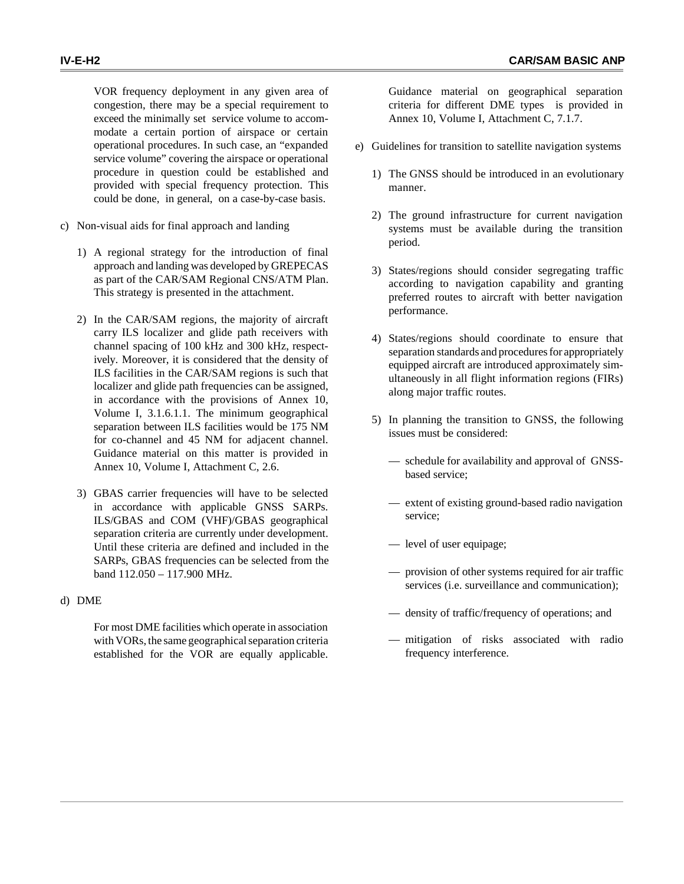VOR frequency deployment in any given area of congestion, there may be a special requirement to exceed the minimally set service volume to accommodate a certain portion of airspace or certain operational procedures. In such case, an "expanded service volume" covering the airspace or operational procedure in question could be established and provided with special frequency protection. This could be done, in general, on a case-by-case basis.

- c) Non-visual aids for final approach and landing
	- 1) A regional strategy for the introduction of final approach and landing was developed by GREPECAS as part of the CAR/SAM Regional CNS/ATM Plan. This strategy is presented in the attachment.
	- 2) In the CAR/SAM regions, the majority of aircraft carry ILS localizer and glide path receivers with channel spacing of 100 kHz and 300 kHz, respectively. Moreover, it is considered that the density of ILS facilities in the CAR/SAM regions is such that localizer and glide path frequencies can be assigned, in accordance with the provisions of Annex 10, Volume I, 3.1.6.1.1. The minimum geographical separation between ILS facilities would be 175 NM for co-channel and 45 NM for adjacent channel. Guidance material on this matter is provided in Annex 10, Volume I, Attachment C, 2.6.
	- 3) GBAS carrier frequencies will have to be selected in accordance with applicable GNSS SARPs. ILS/GBAS and COM (VHF)/GBAS geographical separation criteria are currently under development. Until these criteria are defined and included in the SARPs, GBAS frequencies can be selected from the band 112.050 – 117.900 MHz.

### d) DME

For most DME facilities which operate in association with VORs, the same geographical separation criteria established for the VOR are equally applicable.

Guidance material on geographical separation criteria for different DME types is provided in Annex 10, Volume I, Attachment C, 7.1.7.

- e) Guidelines for transition to satellite navigation systems
	- 1) The GNSS should be introduced in an evolutionary manner.
	- 2) The ground infrastructure for current navigation systems must be available during the transition period.
	- 3) States/regions should consider segregating traffic according to navigation capability and granting preferred routes to aircraft with better navigation performance.
	- 4) States/regions should coordinate to ensure that separation standards and procedures for appropriately equipped aircraft are introduced approximately simultaneously in all flight information regions (FIRs) along major traffic routes.
	- 5) In planning the transition to GNSS, the following issues must be considered:
		- schedule for availability and approval of GNSSbased service;
		- extent of existing ground-based radio navigation service;
		- level of user equipage;
		- provision of other systems required for air traffic services (i.e. surveillance and communication);
		- density of traffic/frequency of operations; and
		- mitigation of risks associated with radio frequency interference.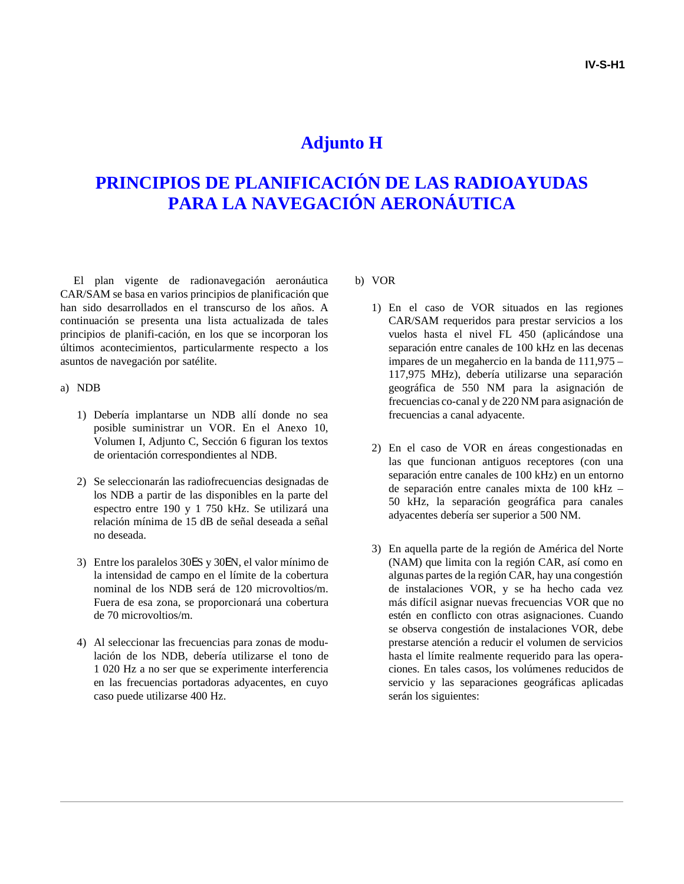## **Adjunto H**

# **PRINCIPIOS DE PLANIFICACIÓN DE LAS RADIOAYUDAS PARA LA NAVEGACIÓN AERONÁUTICA**

El plan vigente de radionavegación aeronáutica CAR/SAM se basa en varios principios de planificación que han sido desarrollados en el transcurso de los años. A continuación se presenta una lista actualizada de tales principios de planifi-cación, en los que se incorporan los últimos acontecimientos, particularmente respecto a los asuntos de navegación por satélite.

#### a) NDB

- 1) Debería implantarse un NDB allí donde no sea posible suministrar un VOR. En el Anexo 10, Volumen I, Adjunto C, Sección 6 figuran los textos de orientación correspondientes al NDB.
- 2) Se seleccionarán las radiofrecuencias designadas de los NDB a partir de las disponibles en la parte del espectro entre 190 y 1 750 kHz. Se utilizará una relación mínima de 15 dB de señal deseada a señal no deseada.
- 3) Entre los paralelos 30ES y 30EN, el valor mínimo de la intensidad de campo en el límite de la cobertura nominal de los NDB será de 120 microvoltios/m. Fuera de esa zona, se proporcionará una cobertura de 70 microvoltios/m.
- 4) Al seleccionar las frecuencias para zonas de modulación de los NDB, debería utilizarse el tono de 1 020 Hz a no ser que se experimente interferencia en las frecuencias portadoras adyacentes, en cuyo caso puede utilizarse 400 Hz.

### b) VOR

- 1) En el caso de VOR situados en las regiones CAR/SAM requeridos para prestar servicios a los vuelos hasta el nivel FL 450 (aplicándose una separación entre canales de 100 kHz en las decenas impares de un megahercio en la banda de 111,975 – 117,975 MHz), debería utilizarse una separación geográfica de 550 NM para la asignación de frecuencias co-canal y de 220 NM para asignación de frecuencias a canal adyacente.
- 2) En el caso de VOR en áreas congestionadas en las que funcionan antiguos receptores (con una separación entre canales de 100 kHz) en un entorno de separación entre canales mixta de 100 kHz – 50 kHz, la separación geográfica para canales adyacentes debería ser superior a 500 NM.
- 3) En aquella parte de la región de América del Norte (NAM) que limita con la región CAR, así como en algunas partes de la región CAR, hay una congestión de instalaciones VOR, y se ha hecho cada vez más difícil asignar nuevas frecuencias VOR que no estén en conflicto con otras asignaciones. Cuando se observa congestión de instalaciones VOR, debe prestarse atención a reducir el volumen de servicios hasta el límite realmente requerido para las operaciones. En tales casos, los volúmenes reducidos de servicio y las separaciones geográficas aplicadas serán los siguientes: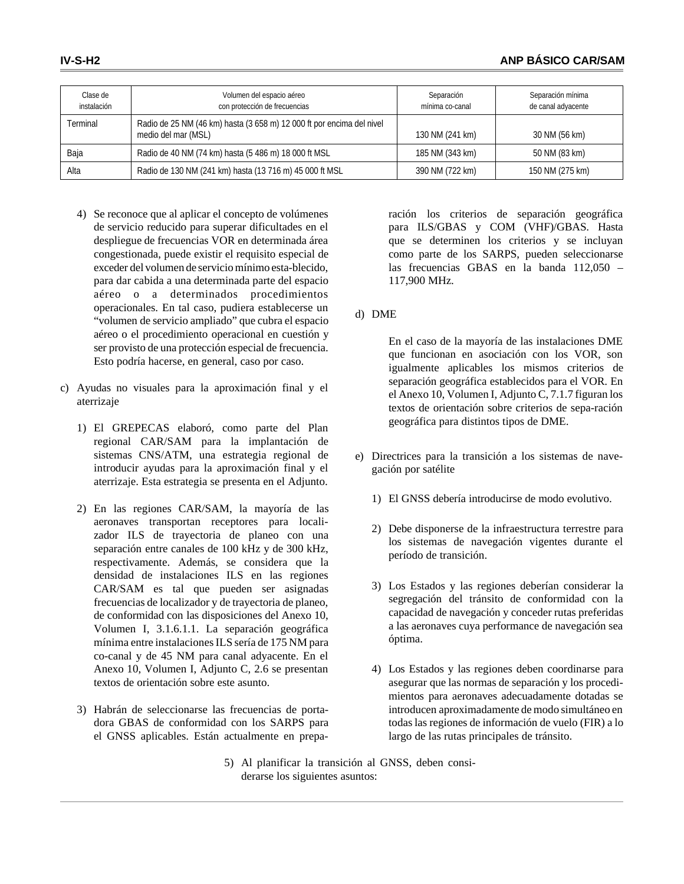| Clase de<br>instalación | Volumen del espacio aéreo<br>con protección de frecuencias                                   | Separación<br>mínima co-canal | Separación mínima<br>de canal adyacente |
|-------------------------|----------------------------------------------------------------------------------------------|-------------------------------|-----------------------------------------|
| Terminal                | Radio de 25 NM (46 km) hasta (3 658 m) 12 000 ft por encima del nivel<br>medio del mar (MSL) | 130 NM (241 km)               | 30 NM (56 km)                           |
| Baja                    | Radio de 40 NM (74 km) hasta (5 486 m) 18 000 ft MSL                                         | 185 NM (343 km)               | 50 NM (83 km)                           |
| Alta                    | Radio de 130 NM (241 km) hasta (13 716 m) 45 000 ft MSL                                      | 390 NM (722 km)               | 150 NM (275 km)                         |

- 4) Se reconoce que al aplicar el concepto de volúmenes de servicio reducido para superar dificultades en el despliegue de frecuencias VOR en determinada área congestionada, puede existir el requisito especial de exceder del volumen de servicio mínimo esta-blecido, para dar cabida a una determinada parte del espacio aéreo o a determinados procedimientos operacionales. En tal caso, pudiera establecerse un "volumen de servicio ampliado" que cubra el espacio aéreo o el procedimiento operacional en cuestión y ser provisto de una protección especial de frecuencia. Esto podría hacerse, en general, caso por caso.
- c) Ayudas no visuales para la aproximación final y el aterrizaje
	- 1) El GREPECAS elaboró, como parte del Plan regional CAR/SAM para la implantación de sistemas CNS/ATM, una estrategia regional de introducir ayudas para la aproximación final y el aterrizaje. Esta estrategia se presenta en el Adjunto.
	- 2) En las regiones CAR/SAM, la mayoría de las aeronaves transportan receptores para localizador ILS de trayectoria de planeo con una separación entre canales de 100 kHz y de 300 kHz, respectivamente. Además, se considera que la densidad de instalaciones ILS en las regiones CAR/SAM es tal que pueden ser asignadas frecuencias de localizador y de trayectoria de planeo, de conformidad con las disposiciones del Anexo 10, Volumen I, 3.1.6.1.1. La separación geográfica mínima entre instalaciones ILS sería de 175 NM para co-canal y de 45 NM para canal adyacente. En el Anexo 10, Volumen I, Adjunto C, 2.6 se presentan textos de orientación sobre este asunto.
	- 3) Habrán de seleccionarse las frecuencias de portadora GBAS de conformidad con los SARPS para el GNSS aplicables. Están actualmente en prepa-

ración los criterios de separación geográfica para ILS/GBAS y COM (VHF)/GBAS. Hasta que se determinen los criterios y se incluyan como parte de los SARPS, pueden seleccionarse las frecuencias GBAS en la banda 112,050 – 117,900 MHz.

### d) DME

En el caso de la mayoría de las instalaciones DME que funcionan en asociación con los VOR, son igualmente aplicables los mismos criterios de separación geográfica establecidos para el VOR. En el Anexo 10, Volumen I, Adjunto C, 7.1.7 figuran los textos de orientación sobre criterios de sepa-ración geográfica para distintos tipos de DME.

- e) Directrices para la transición a los sistemas de navegación por satélite
	- 1) El GNSS debería introducirse de modo evolutivo.
	- 2) Debe disponerse de la infraestructura terrestre para los sistemas de navegación vigentes durante el período de transición.
	- 3) Los Estados y las regiones deberían considerar la segregación del tránsito de conformidad con la capacidad de navegación y conceder rutas preferidas a las aeronaves cuya performance de navegación sea óptima.
	- 4) Los Estados y las regiones deben coordinarse para asegurar que las normas de separación y los procedimientos para aeronaves adecuadamente dotadas se introducen aproximadamente de modo simultáneo en todas las regiones de información de vuelo (FIR) a lo largo de las rutas principales de tránsito.
- 5) Al planificar la transición al GNSS, deben considerarse los siguientes asuntos: